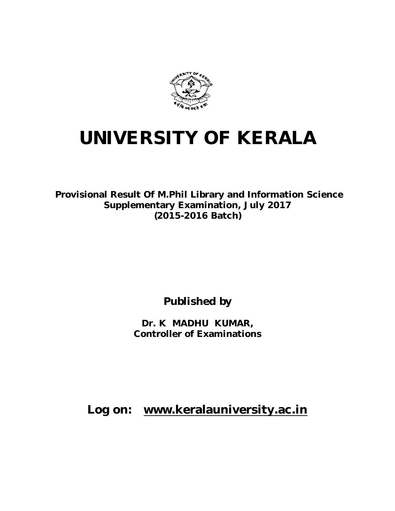

# **UNIVERSITY OF KERALA**

**Provisional Result Of M.Phil Library and Information Science Supplementary Examination, July 2017 (2015-2016 Batch)** 

**Published by**

**Dr. K MADHU KUMAR, Controller of Examinations**

**Log on: www.keralauniversity.ac.in**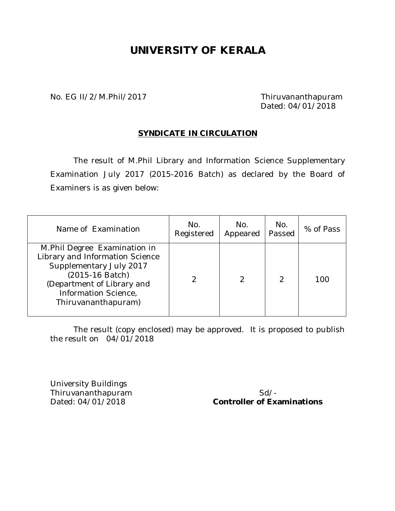## **UNIVERSITY OF KERALA**

No. EG II/2/M.Phil/2017 Thiruvananthapuram

Dated: 04/01/2018

#### **SYNDICATE IN CIRCULATION**

The result of M.Phil Library and Information Science Supplementary Examination July 2017 (2015-2016 Batch) as declared by the Board of Examiners is as given below:

| Name of Examination                                                                                                                                                                        | No.<br>Registered | No.<br>Appeared | No.<br>Passed | % of Pass |
|--------------------------------------------------------------------------------------------------------------------------------------------------------------------------------------------|-------------------|-----------------|---------------|-----------|
| M.Phil Degree Examination in<br>Library and Information Science<br>Supplementary July 2017<br>(2015-16 Batch)<br>(Department of Library and<br>Information Science,<br>Thiruvananthapuram) |                   | 2               | っ             | 100       |

The result (copy enclosed) may be approved. It is proposed to publish the result on 04/01/2018

University Buildings Thiruvananthapuram Sd/-<br>Dated: 04/01/2018 **Controller of Example 2018** 

**Controller of Examinations**